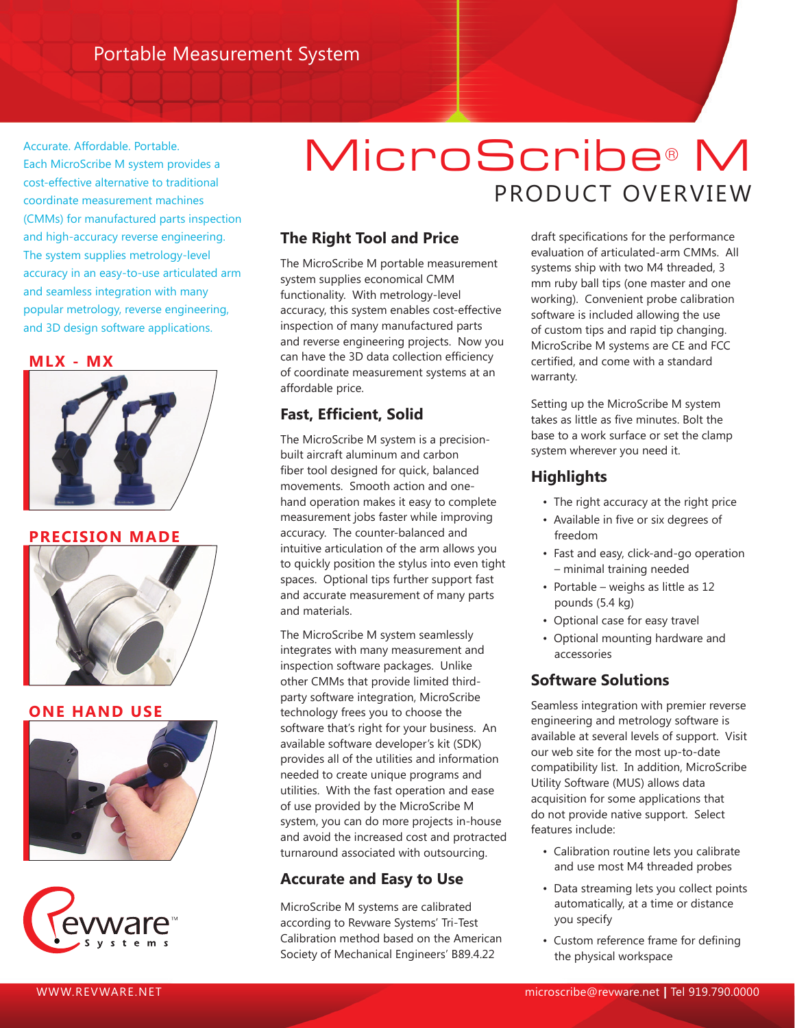Accurate. Affordable. Portable. Each MicroScribe M system provides a cost-effective alternative to traditional coordinate measurement machines (CMMs) for manufactured parts inspection and high-accuracy reverse engineering. The system supplies metrology-level accuracy in an easy-to-use articulated arm and seamless integration with many popular metrology, reverse engineering, and 3D design software applications.

**MLX - MX**



**PRECISION MADE**



## **ONE HAND USE**





# MicroScribe® M PRODUCT OVERVIEW

# **The Right Tool and Price**

The MicroScribe M portable measurement system supplies economical CMM functionality. With metrology-level accuracy, this system enables cost-effective inspection of many manufactured parts and reverse engineering projects. Now you can have the 3D data collection efficiency of coordinate measurement systems at an affordable price.

# **Fast, Efficient, Solid**

The MicroScribe M system is a precisionbuilt aircraft aluminum and carbon fiber tool designed for quick, balanced movements. Smooth action and onehand operation makes it easy to complete measurement jobs faster while improving accuracy. The counter-balanced and intuitive articulation of the arm allows you to quickly position the stylus into even tight spaces. Optional tips further support fast and accurate measurement of many parts and materials.

The MicroScribe M system seamlessly integrates with many measurement and inspection software packages. Unlike other CMMs that provide limited thirdparty software integration, MicroScribe technology frees you to choose the software that's right for your business. An available software developer's kit (SDK) provides all of the utilities and information needed to create unique programs and utilities. With the fast operation and ease of use provided by the MicroScribe M system, you can do more projects in-house and avoid the increased cost and protracted turnaround associated with outsourcing.

# **Accurate and Easy to Use**

MicroScribe M systems are calibrated according to Revware Systems' Tri-Test Calibration method based on the American Society of Mechanical Engineers' B89.4.22

draft specifications for the performance evaluation of articulated-arm CMMs. All systems ship with two M4 threaded, 3 mm ruby ball tips (one master and one working). Convenient probe calibration software is included allowing the use of custom tips and rapid tip changing. MicroScribe M systems are CE and FCC certified, and come with a standard warranty.

Setting up the MicroScribe M system takes as little as five minutes. Bolt the base to a work surface or set the clamp system wherever you need it.

# **Highlights**

- The right accuracy at the right price
- Available in five or six degrees of freedom
- Fast and easy, click-and-go operation – minimal training needed
- Portable weighs as little as 12 pounds (5.4 kg)
- Optional case for easy travel
- Optional mounting hardware and accessories

## **Software Solutions**

Seamless integration with premier reverse engineering and metrology software is available at several levels of support. Visit our web site for the most up-to-date compatibility list. In addition, MicroScribe Utility Software (MUS) allows data acquisition for some applications that do not provide native support. Select features include:

- Calibration routine lets you calibrate and use most M4 threaded probes
- Data streaming lets you collect points automatically, at a time or distance you specify
- Custom reference frame for defining the physical workspace